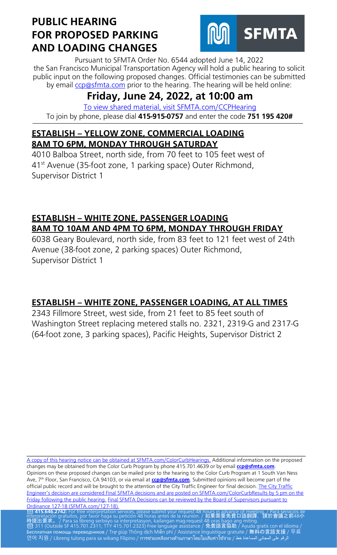

Pursuant to SFMTA Order No. 6544 adopted June 14, 2022 the San Francisco Municipal Transportation Agency will hold a public hearing to solicit public input on the following proposed changes. Official testimonies can be submitted by email [ccp@sfmta.com](mailto:ccp@sfmta.com) prior to the hearing. The hearing will be held online:

# **Friday, June 24, 2022, at 10:00 am**

 [To view shared material, visit SFMTA.com/CCPHearing](https://www.sfmta.com/CCPHearing) To join by phone, please dial **415-915-0757** and enter the code **751 195 420#**

#### **ESTABLISH – YELLOW ZONE, COMMERCIAL LOADING 8AM TO 6PM, MONDAY THROUGH SATURDAY**

4010 Balboa Street, north side, from 70 feet to 105 feet west of 41st Avenue (35-foot zone, 1 parking space) Outer Richmond, Supervisor District 1

### **ESTABLISH – WHITE ZONE, PASSENGER LOADING 8AM TO 10AM AND 4PM TO 6PM, MONDAY THROUGH FRIDAY**

6038 Geary Boulevard, north side, from 83 feet to 121 feet west of 24th Avenue (38-foot zone, 2 parking spaces) Outer Richmond, Supervisor District 1

## **ESTABLISH – WHITE ZONE, PASSENGER LOADING, AT ALL TIMES**

2343 Fillmore Street, west side, from 21 feet to 85 feet south of Washington Street replacing metered stalls no. 2321, 2319-G and 2317-G (64-foot zone, 3 parking spaces), Pacific Heights, Supervisor District 2

\_\_\_\_\_\_\_\_\_\_\_\_\_\_\_\_\_\_\_\_\_\_\_\_\_\_\_\_\_\_\_\_\_\_\_\_\_\_\_\_\_\_\_\_\_\_\_\_\_\_\_\_\_\_\_\_\_\_\_\_\_\_\_\_\_\_\_\_\_\_\_\_\_\_\_\_ [A copy of this hearing notice can be obtained at SFMTA.com/ColorCurbHearings.](http://www.sfmta.com/ColorCurbHearings) Additional information on the proposed changes may be obtained from the Color Curb Program by phone 415.701.4639 or by email **[ccp@sfmta.com](mailto:ccp@sfmta.com)**. Opinions on these proposed changes can be mailed prior to the hearing to the Color Curb Program at 1 South Van Ness Ave, 7<sup>th</sup> Floor, San Francisco, CA 94103, or via email at **[ccp@sfmta.com](mailto:ccp@sfmta.com)**. Submitted opinions will become part of the official public record and will be brought to the attention of the City Traffic Engineer for final decision. The City Traffic [Engineer's decision are considered Final SFMTA decisions and are posted on SFMTA.com/ColorCurbResults by 5 pm on the](http://www.sfmta.com/ColorCurbResults)  [Friday following the public hearing.](http://www.sfmta.com/ColorCurbResults) [Final SFMTA Decisions can be reviewed by the Board of Supervisors pursuant to](https://sfbos.org/sites/default/files/o0127-18.pdf) Ordinance 127-18 (SFMTA.com/127-18). [Ordinance 127-18 \(SFMTA.com/127-18\).](https://sfbos.org/sites/default/files/o0127-18.pdf)<br><mark>23 415.646.2742:</mark> For free interpretation services, please submit your request 48 hou<u>rs in advance of meet</u>ing. / Para servicios de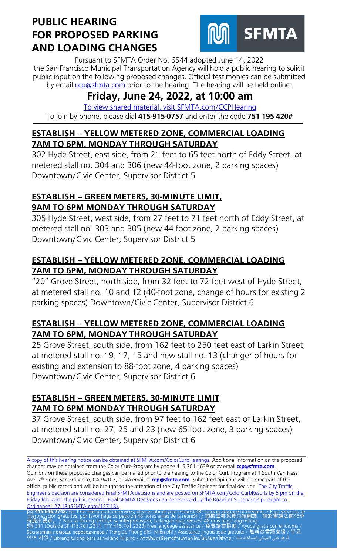

Pursuant to SFMTA Order No. 6544 adopted June 14, 2022 the San Francisco Municipal Transportation Agency will hold a public hearing to solicit public input on the following proposed changes. Official testimonies can be submitted by email [ccp@sfmta.com](mailto:ccp@sfmta.com) prior to the hearing. The hearing will be held online:

# **Friday, June 24, 2022, at 10:00 am**

 [To view shared material, visit SFMTA.com/CCPHearing](https://www.sfmta.com/CCPHearing) To join by phone, please dial **415-915-0757** and enter the code **751 195 420#**

### **ESTABLISH – YELLOW METERED ZONE, COMMERCIAL LOADING 7AM TO 6PM, MONDAY THROUGH SATURDAY**

302 Hyde Street, east side, from 21 feet to 65 feet north of Eddy Street, at metered stall no. 304 and 306 (new 44-foot zone, 2 parking spaces) Downtown/Civic Center, Supervisor District 5

#### **ESTABLISH – GREEN METERS, 30-MINUTE LIMIT, 9AM TO 6PM MONDAY THROUGH SATURDAY**

305 Hyde Street, west side, from 27 feet to 71 feet north of Eddy Street, at metered stall no. 303 and 305 (new 44-foot zone, 2 parking spaces) Downtown/Civic Center, Supervisor District 5

## **ESTABLISH – YELLOW METERED ZONE, COMMERCIAL LOADING 7AM TO 6PM, MONDAY THROUGH SATURDAY**

"20" Grove Street, north side, from 32 feet to 72 feet west of Hyde Street, at metered stall no. 10 and 12 (40-foot zone, change of hours for existing 2 parking spaces) Downtown/Civic Center, Supervisor District 6

### **ESTABLISH – YELLOW METERED ZONE, COMMERCIAL LOADING 7AM TO 6PM, MONDAY THROUGH SATURDAY**

25 Grove Street, south side, from 162 feet to 250 feet east of Larkin Street, at metered stall no. 19, 17, 15 and new stall no. 13 (changer of hours for existing and extension to 88-foot zone, 4 parking spaces) Downtown/Civic Center, Supervisor District 6

### **ESTABLISH – GREEN METERS, 30-MINUTE LIMIT 7AM TO 6PM MONDAY THROUGH SATURDAY**

37 Grove Street, south side, from 97 feet to 162 feet east of Larkin Street, at metered stall no. 27, 25 and 23 (new 65-foot zone, 3 parking spaces) Downtown/Civic Center, Supervisor District 6

\_\_\_\_\_\_\_\_\_\_\_\_\_\_\_\_\_\_\_\_\_\_\_\_\_\_\_\_\_\_\_\_\_\_\_\_\_\_\_\_\_\_\_\_\_\_\_\_\_\_\_\_\_\_\_\_\_\_\_\_\_\_\_\_\_\_\_\_\_\_\_\_\_\_\_\_

[A copy of this hearing notice can be obtained at SFMTA.com/ColorCurbHearings.](http://www.sfmta.com/ColorCurbHearings) Additional information on the proposed changes may be obtained from the Color Curb Program by phone 415.701.4639 or by email **[ccp@sfmta.com](mailto:ccp@sfmta.com)**. Opinions on these proposed changes can be mailed prior to the hearing to the Color Curb Program at 1 South Van Ness Ave, 7<sup>th</sup> Floor, San Francisco, CA 94103, or via email at **[ccp@sfmta.com](mailto:ccp@sfmta.com)**. Submitted opinions will become part of the official public record and will be brought to the attention of the City Traffic Engineer for final decision. The City Traffic [Engineer's decision are considered Final SFMTA decisions and are posted on SFMTA.com/ColorCurbResults by 5 pm on the](http://www.sfmta.com/ColorCurbResults)  [Friday following the public hearing.](http://www.sfmta.com/ColorCurbResults) [Final SFMTA Decisions can be reviewed by the Board of Supervisors pursuant to](https://sfbos.org/sites/default/files/o0127-18.pdf) Ordinance 127-18 (SFMTA.com/127-18). [Ordinance 127-18 \(SFMTA.com/127-18\).](https://sfbos.org/sites/default/files/o0127-18.pdf)<br><mark>23 415.646.2742:</mark> For free interpretation services, please submit your request 48 hou<u>rs in advance of meet</u>ing. / Para servicios de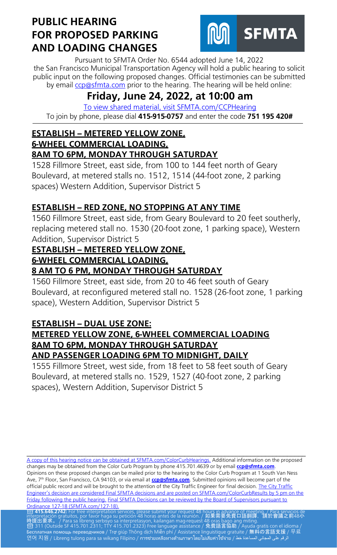

Pursuant to SFMTA Order No. 6544 adopted June 14, 2022 the San Francisco Municipal Transportation Agency will hold a public hearing to solicit public input on the following proposed changes. Official testimonies can be submitted by email [ccp@sfmta.com](mailto:ccp@sfmta.com) prior to the hearing. The hearing will be held online:

# **Friday, June 24, 2022, at 10:00 am**

 [To view shared material, visit SFMTA.com/CCPHearing](https://www.sfmta.com/CCPHearing) To join by phone, please dial **415-915-0757** and enter the code **751 195 420#**

# **ESTABLISH -- METERED YELLOW ZONE,**

#### **6-WHEEL COMMERCIAL LOADING,**

#### **8AM TO 6PM, MONDAY THROUGH SATURDAY**

1528 Fillmore Street, east side, from 100 to 144 feet north of Geary Boulevard, at metered stalls no. 1512, 1514 (44-foot zone, 2 parking spaces) Western Addition, Supervisor District 5

### **ESTABLISH -- RED ZONE, NO STOPPING AT ANY TIME**

1560 Fillmore Street, east side, from Geary Boulevard to 20 feet southerly, replacing metered stall no. 1530 (20-foot zone, 1 parking space), Western Addition, Supervisor District 5

### **ESTABLISH -- METERED YELLOW ZONE,**

#### **6-WHEEL COMMERCIAL LOADING,**

## **8 AM TO 6 PM, MONDAY THROUGH SATURDAY**

1560 Fillmore Street, east side, from 20 to 46 feet south of Geary Boulevard, at reconfigured metered stall no. 1528 (26-foot zone, 1 parking space), Western Addition, Supervisor District 5

## **ESTABLISH -- DUAL USE ZONE:**

#### **METERED YELLOW ZONE, 6-WHEEL COMMERCIAL LOADING 8AM TO 6PM, MONDAY THROUGH SATURDAY AND PASSENGER LOADING 6PM TO MIDNIGHT, DAILY**

1555 Fillmore Street, west side, from 18 feet to 58 feet south of Geary Boulevard, at metered stalls no. 1529, 1527 (40-foot zone, 2 parking spaces), Western Addition, Supervisor District 5

[A copy of this hearing notice can be obtained at SFMTA.com/ColorCurbHearings.](http://www.sfmta.com/ColorCurbHearings) Additional information on the proposed changes may be obtained from the Color Curb Program by phone 415.701.4639 or by email **[ccp@sfmta.com](mailto:ccp@sfmta.com)**. Opinions on these proposed changes can be mailed prior to the hearing to the Color Curb Program at 1 South Van Ness Ave, 7<sup>th</sup> Floor, San Francisco, CA 94103, or via email at **[ccp@sfmta.com](mailto:ccp@sfmta.com)**. Submitted opinions will become part of the official public record and will be brought to the attention of the City Traffic Engineer for final decision. The City Traffic [Engineer's decision are considered Final SFMTA decisions and are posted on SFMTA.com/ColorCurbResults by 5 pm on the](http://www.sfmta.com/ColorCurbResults)  [Friday following the public hearing.](http://www.sfmta.com/ColorCurbResults) [Final SFMTA Decisions can be reviewed by the Board of Supervisors pursuant to](https://sfbos.org/sites/default/files/o0127-18.pdf) Ordinance 127-18 (SFMTA.com/127-18). [Ordinance 127-18 \(SFMTA.com/127-18\).](https://sfbos.org/sites/default/files/o0127-18.pdf)<br><mark>23 415.646.2742:</mark> For free interpretation services, please submit your request 48 hou<u>rs in advance of meet</u>ing. / Para servicios de

\_\_\_\_\_\_\_\_\_\_\_\_\_\_\_\_\_\_\_\_\_\_\_\_\_\_\_\_\_\_\_\_\_\_\_\_\_\_\_\_\_\_\_\_\_\_\_\_\_\_\_\_\_\_\_\_\_\_\_\_\_\_\_\_\_\_\_\_\_\_\_\_\_\_\_\_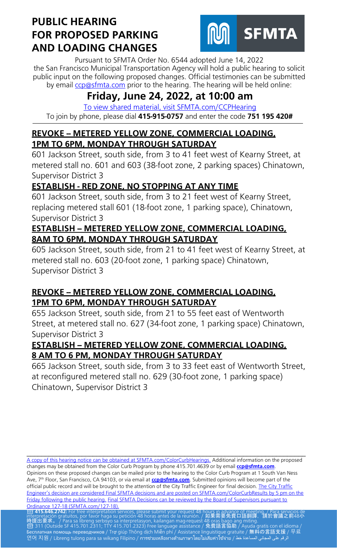

Pursuant to SFMTA Order No. 6544 adopted June 14, 2022 the San Francisco Municipal Transportation Agency will hold a public hearing to solicit public input on the following proposed changes. Official testimonies can be submitted by email [ccp@sfmta.com](mailto:ccp@sfmta.com) prior to the hearing. The hearing will be held online:

# **Friday, June 24, 2022, at 10:00 am**

 [To view shared material, visit SFMTA.com/CCPHearing](https://www.sfmta.com/CCPHearing) To join by phone, please dial **415-915-0757** and enter the code **751 195 420#**

### **REVOKE -- METERED YELLOW ZONE, COMMERCIAL LOADING, 1PM TO 6PM, MONDAY THROUGH SATURDAY**

601 Jackson Street, south side, from 3 to 41 feet west of Kearny Street, at metered stall no. 601 and 603 (38-foot zone, 2 parking spaces) Chinatown, Supervisor District 3

## **ESTABLISH - RED ZONE, NO STOPPING AT ANY TIME**

601 Jackson Street, south side, from 3 to 21 feet west of Kearny Street, replacing metered stall 601 (18-foot zone, 1 parking space), Chinatown, Supervisor District 3

#### **ESTABLISH -- METERED YELLOW ZONE, COMMERCIAL LOADING, 8AM TO 6PM, MONDAY THROUGH SATURDAY**

605 Jackson Street, south side, from 21 to 41 feet west of Kearny Street, at metered stall no. 603 (20-foot zone, 1 parking space) Chinatown, Supervisor District 3

### **REVOKE -- METERED YELLOW ZONE, COMMERCIAL LOADING, 1PM TO 6PM, MONDAY THROUGH SATURDAY**

655 Jackson Street, south side, from 21 to 55 feet east of Wentworth Street, at metered stall no. 627 (34-foot zone, 1 parking space) Chinatown, Supervisor District 3

#### **ESTABLISH -- METERED YELLOW ZONE, COMMERCIAL LOADING, 8 AM TO 6 PM, MONDAY THROUGH SATURDAY**

665 Jackson Street, south side, from 3 to 33 feet east of Wentworth Street, at reconfigured metered stall no. 629 (30-foot zone, 1 parking space) Chinatown, Supervisor District 3

\_\_\_\_\_\_\_\_\_\_\_\_\_\_\_\_\_\_\_\_\_\_\_\_\_\_\_\_\_\_\_\_\_\_\_\_\_\_\_\_\_\_\_\_\_\_\_\_\_\_\_\_\_\_\_\_\_\_\_\_\_\_\_\_\_\_\_\_\_\_\_\_\_\_\_\_ [A copy of this hearing notice can be obtained at SFMTA.com/ColorCurbHearings.](http://www.sfmta.com/ColorCurbHearings) Additional information on the proposed changes may be obtained from the Color Curb Program by phone 415.701.4639 or by email **[ccp@sfmta.com](mailto:ccp@sfmta.com)**. Opinions on these proposed changes can be mailed prior to the hearing to the Color Curb Program at 1 South Van Ness Ave, 7<sup>th</sup> Floor, San Francisco, CA 94103, or via email at **[ccp@sfmta.com](mailto:ccp@sfmta.com)**. Submitted opinions will become part of the official public record and will be brought to the attention of the City Traffic Engineer for final decision. The City Traffic [Engineer's decision are considered Final SFMTA decisions and are posted on SFMTA.com/ColorCurbResults by 5 pm on the](http://www.sfmta.com/ColorCurbResults)  [Friday following the public hearing.](http://www.sfmta.com/ColorCurbResults) [Final SFMTA Decisions can be reviewed by the Board of Supervisors pursuant to](https://sfbos.org/sites/default/files/o0127-18.pdf) Ordinance 127-18 (SFMTA.com/127-18). [Ordinance 127-18 \(SFMTA.com/127-18\).](https://sfbos.org/sites/default/files/o0127-18.pdf)<br><mark>23 415.646.2742:</mark> For free interpretation services, please submit your request 48 hou<u>rs in advance of meet</u>ing. / Para servicios de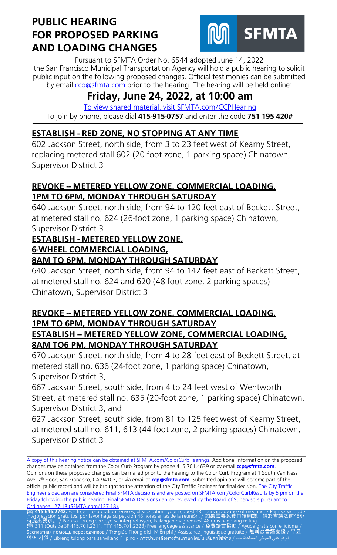

Pursuant to SFMTA Order No. 6544 adopted June 14, 2022 the San Francisco Municipal Transportation Agency will hold a public hearing to solicit public input on the following proposed changes. Official testimonies can be submitted by email [ccp@sfmta.com](mailto:ccp@sfmta.com) prior to the hearing. The hearing will be held online:

# **Friday, June 24, 2022, at 10:00 am**

 [To view shared material, visit SFMTA.com/CCPHearing](https://www.sfmta.com/CCPHearing) To join by phone, please dial **415-915-0757** and enter the code **751 195 420#**

## **ESTABLISH - RED ZONE, NO STOPPING AT ANY TIME**

602 Jackson Street, north side, from 3 to 23 feet west of Kearny Street, replacing metered stall 602 (20-foot zone, 1 parking space) Chinatown, Supervisor District 3

### **REVOKE -- METERED YELLOW ZONE, COMMERCIAL LOADING, 1PM TO 6PM, MONDAY THROUGH SATURDAY**

640 Jackson Street, north side, from 94 to 120 feet east of Beckett Street, at metered stall no. 624 (26-foot zone, 1 parking space) Chinatown, Supervisor District 3

## **ESTABLISH - METERED YELLOW ZONE,**

#### **6-WHEEL COMMERCIAL LOADING,**

#### **8AM TO 6PM, MONDAY THROUGH SATURDAY**

640 Jackson Street, north side, from 94 to 142 feet east of Beckett Street, at metered stall no. 624 and 620 (48-foot zone, 2 parking spaces) Chinatown, Supervisor District 3

#### **REVOKE -- METERED YELLOW ZONE, COMMERCIAL LOADING, 1PM TO 6PM, MONDAY THROUGH SATURDAY ESTABLISH -- METERED YELLOW ZONE, COMMERCIAL LOADING, 8AM TO6 PM, MONDAY THROUGH SATURDAY**

670 Jackson Street, north side, from 4 to 28 feet east of Beckett Street, at metered stall no. 636 (24-foot zone, 1 parking space) Chinatown, Supervisor District 3,

667 Jackson Street, south side, from 4 to 24 feet west of Wentworth Street, at metered stall no. 635 (20-foot zone, 1 parking space) Chinatown, Supervisor District 3, and

627 Jackson Street, south side, from 81 to 125 feet west of Kearny Street, at metered stall no. 611, 613 (44-foot zone, 2 parking spaces) Chinatown, Supervisor District 3

\_\_\_\_\_\_\_\_\_\_\_\_\_\_\_\_\_\_\_\_\_\_\_\_\_\_\_\_\_\_\_\_\_\_\_\_\_\_\_\_\_\_\_\_\_\_\_\_\_\_\_\_\_\_\_\_\_\_\_\_\_\_\_\_\_\_\_\_\_\_\_\_\_\_\_\_

[A copy of this hearing notice can be obtained at SFMTA.com/ColorCurbHearings.](http://www.sfmta.com/ColorCurbHearings) Additional information on the proposed changes may be obtained from the Color Curb Program by phone 415.701.4639 or by email **[ccp@sfmta.com](mailto:ccp@sfmta.com)**. Opinions on these proposed changes can be mailed prior to the hearing to the Color Curb Program at 1 South Van Ness Ave, 7<sup>th</sup> Floor, San Francisco, CA 94103, or via email at **[ccp@sfmta.com](mailto:ccp@sfmta.com)**. Submitted opinions will become part of the official public record and will be brought to the attention of the City Traffic Engineer for final decision. The City Traffic [Engineer's decision are considered Final SFMTA decisions and are posted on SFMTA.com/ColorCurbResults by 5 pm on the](http://www.sfmta.com/ColorCurbResults)  [Friday following the public hearing.](http://www.sfmta.com/ColorCurbResults) [Final SFMTA Decisions can be reviewed by the Board of Supervisors pursuant to](https://sfbos.org/sites/default/files/o0127-18.pdf) Ordinance 127-18 (SFMTA.com/127-18). [Ordinance 127-18 \(SFMTA.com/127-18\).](https://sfbos.org/sites/default/files/o0127-18.pdf)<br><mark>23 415.646.2742:</mark> For free interpretation services, please submit your request 48 hou<u>rs in advance of meet</u>ing. / Para servicios de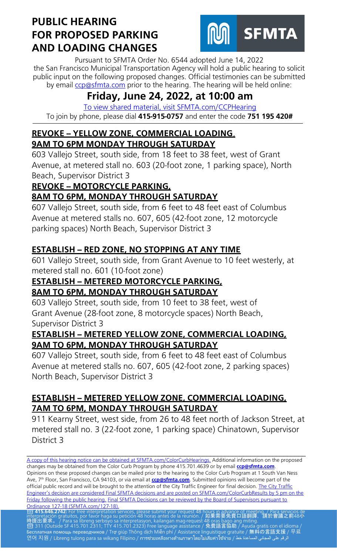

Pursuant to SFMTA Order No. 6544 adopted June 14, 2022 the San Francisco Municipal Transportation Agency will hold a public hearing to solicit public input on the following proposed changes. Official testimonies can be submitted by email [ccp@sfmta.com](mailto:ccp@sfmta.com) prior to the hearing. The hearing will be held online:

# **Friday, June 24, 2022, at 10:00 am**

 [To view shared material, visit SFMTA.com/CCPHearing](https://www.sfmta.com/CCPHearing) To join by phone, please dial **415-915-0757** and enter the code **751 195 420#**

#### **REVOKE -- YELLOW ZONE, COMMERCIAL LOADING**, **9AM TO 6PM MONDAY THROUGH SATURDAY**

603 Vallejo Street, south side, from 18 feet to 38 feet, west of Grant Avenue, at metered stall no. 603 (20-foot zone, 1 parking space), North Beach, Supervisor District 3

## **REVOKE -- MOTORCYCLE PARKING,**

## **8AM TO 6PM, MONDAY THROUGH SATURDAY**

607 Vallejo Street, south side, from 6 feet to 48 feet east of Columbus Avenue at metered stalls no. 607, 605 (42-foot zone, 12 motorcycle parking spaces) North Beach, Supervisor District 3

### **ESTABLISH -- RED ZONE, NO STOPPING AT ANY TIME**

601 Vallejo Street, south side, from Grant Avenue to 10 feet westerly, at metered stall no. 601 (10-foot zone)

#### **ESTABLISH -- METERED MOTORCYCLE PARKING, 8AM TO 6PM, MONDAY THROUGH SATURDAY**

603 Vallejo Street, south side, from 10 feet to 38 feet, west of Grant Avenue (28-foot zone, 8 motorcycle spaces) North Beach, Supervisor District 3

#### **ESTABLISH -- METERED YELLOW ZONE, COMMERCIAL LOADING, 9AM TO 6PM, MONDAY THROUGH SATURDAY**

607 Vallejo Street, south side, from 6 feet to 48 feet east of Columbus Avenue at metered stalls no. 607, 605 (42-foot zone, 2 parking spaces) North Beach, Supervisor District 3

#### **ESTABLISH -- METERED YELLOW ZONE, COMMERCIAL LOADING, 7AM TO 6PM, MONDAY THROUGH SATURDAY**

911 Kearny Street, west side, from 26 to 48 feet north of Jackson Street, at metered stall no. 3 (22-foot zone, 1 parking space) Chinatown, Supervisor District 3

[A copy of this hearing notice can be obtained at SFMTA.com/ColorCurbHearings.](http://www.sfmta.com/ColorCurbHearings) Additional information on the proposed changes may be obtained from the Color Curb Program by phone 415.701.4639 or by email **[ccp@sfmta.com](mailto:ccp@sfmta.com)**. Opinions on these proposed changes can be mailed prior to the hearing to the Color Curb Program at 1 South Van Ness Ave, 7<sup>th</sup> Floor, San Francisco, CA 94103, or via email at **[ccp@sfmta.com](mailto:ccp@sfmta.com)**. Submitted opinions will become part of the official public record and will be brought to the attention of the City Traffic Engineer for final decision. The City Traffic [Engineer's decision are considered Final SFMTA decisions and are posted on SFMTA.com/ColorCurbResults by 5 pm on the](http://www.sfmta.com/ColorCurbResults)  [Friday following the public hearing.](http://www.sfmta.com/ColorCurbResults) [Final SFMTA Decisions can be reviewed by the Board of Supervisors pursuant to](https://sfbos.org/sites/default/files/o0127-18.pdf) Ordinance 127-18 (SFMTA.com/127-18). [Ordinance 127-18 \(SFMTA.com/127-18\).](https://sfbos.org/sites/default/files/o0127-18.pdf)<br><mark>23 415.646.2742:</mark> For free interpretation services, please submit your request 48 hou<u>rs in advance of meet</u>ing. / Para servicios de

\_\_\_\_\_\_\_\_\_\_\_\_\_\_\_\_\_\_\_\_\_\_\_\_\_\_\_\_\_\_\_\_\_\_\_\_\_\_\_\_\_\_\_\_\_\_\_\_\_\_\_\_\_\_\_\_\_\_\_\_\_\_\_\_\_\_\_\_\_\_\_\_\_\_\_\_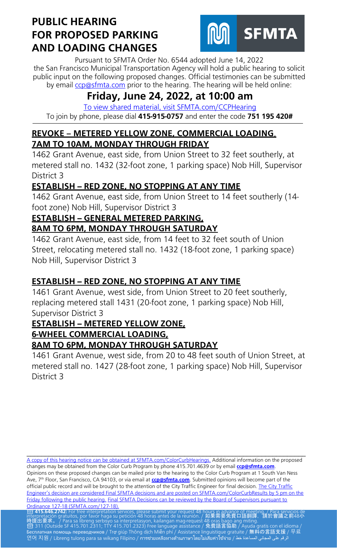

Pursuant to SFMTA Order No. 6544 adopted June 14, 2022 the San Francisco Municipal Transportation Agency will hold a public hearing to solicit public input on the following proposed changes. Official testimonies can be submitted by email [ccp@sfmta.com](mailto:ccp@sfmta.com) prior to the hearing. The hearing will be held online:

# **Friday, June 24, 2022, at 10:00 am**

 [To view shared material, visit SFMTA.com/CCPHearing](https://www.sfmta.com/CCPHearing) To join by phone, please dial **415-915-0757** and enter the code **751 195 420#**

### **REVOKE – METERED YELLOW ZONE, COMMERCIAL LOADING**, **7AM TO 10AM, MONDAY THROUGH FRIDAY**

1462 Grant Avenue, east side, from Union Street to 32 feet southerly, at metered stall no. 1432 (32-foot zone, 1 parking space) Nob Hill, Supervisor District 3

## **ESTABLISH - RED ZONE, NO STOPPING AT ANY TIME**

1462 Grant Avenue, east side, from Union Street to 14 feet southerly (14 foot zone) Nob Hill, Supervisor District 3

## **ESTABLISH - GENERAL METERED PARKING,**

## **8AM TO 6PM, MONDAY THROUGH SATURDAY**

1462 Grant Avenue, east side, from 14 feet to 32 feet south of Union Street, relocating metered stall no. 1432 (18-foot zone, 1 parking space) Nob Hill, Supervisor District 3

## **ESTABLISH -- RED ZONE, NO STOPPING AT ANY TIME**

1461 Grant Avenue, west side, from Union Street to 20 feet southerly, replacing metered stall 1431 (20-foot zone, 1 parking space) Nob Hill, Supervisor District 3

#### **ESTABLISH -- METERED YELLOW ZONE, 6-WHEEL COMMERCIAL LOADING, 8AM TO 6PM, MONDAY THROUGH SATURDAY**

1461 Grant Avenue, west side, from 20 to 48 feet south of Union Street, at metered stall no. 1427 (28-foot zone, 1 parking space) Nob Hill, Supervisor District 3

[A copy of this hearing notice can be obtained at SFMTA.com/ColorCurbHearings.](http://www.sfmta.com/ColorCurbHearings) Additional information on the proposed changes may be obtained from the Color Curb Program by phone 415.701.4639 or by email **[ccp@sfmta.com](mailto:ccp@sfmta.com)**. Opinions on these proposed changes can be mailed prior to the hearing to the Color Curb Program at 1 South Van Ness Ave, 7<sup>th</sup> Floor, San Francisco, CA 94103, or via email at **[ccp@sfmta.com](mailto:ccp@sfmta.com)**. Submitted opinions will become part of the official public record and will be brought to the attention of the City Traffic Engineer for final decision. The City Traffic [Engineer's decision are considered Final SFMTA decisions and are posted on SFMTA.com/ColorCurbResults by 5 pm on the](http://www.sfmta.com/ColorCurbResults)  [Friday following the public hearing.](http://www.sfmta.com/ColorCurbResults) [Final SFMTA Decisions can be reviewed by the Board of Supervisors pursuant to](https://sfbos.org/sites/default/files/o0127-18.pdf) Ordinance 127-18 (SFMTA.com/127-18). [Ordinance 127-18 \(SFMTA.com/127-18\).](https://sfbos.org/sites/default/files/o0127-18.pdf)<br><mark>23 415.646.2742:</mark> For free interpretation services, please submit your request 48 hou<u>rs in advance of meet</u>ing. / Para servicios de

\_\_\_\_\_\_\_\_\_\_\_\_\_\_\_\_\_\_\_\_\_\_\_\_\_\_\_\_\_\_\_\_\_\_\_\_\_\_\_\_\_\_\_\_\_\_\_\_\_\_\_\_\_\_\_\_\_\_\_\_\_\_\_\_\_\_\_\_\_\_\_\_\_\_\_\_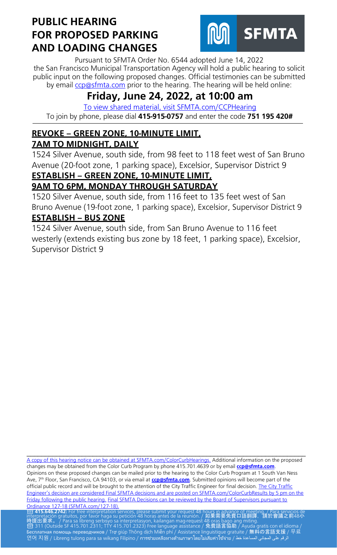

Pursuant to SFMTA Order No. 6544 adopted June 14, 2022 the San Francisco Municipal Transportation Agency will hold a public hearing to solicit public input on the following proposed changes. Official testimonies can be submitted by email [ccp@sfmta.com](mailto:ccp@sfmta.com) prior to the hearing. The hearing will be held online:

# **Friday, June 24, 2022, at 10:00 am**

 [To view shared material, visit SFMTA.com/CCPHearing](https://www.sfmta.com/CCPHearing) To join by phone, please dial **415-915-0757** and enter the code **751 195 420#**

# **REVOKE – GREEN ZONE, 10-MINUTE LIMIT,**

### **7AM TO MIDNIGHT, DAILY**

1524 Silver Avenue, south side, from 98 feet to 118 feet west of San Bruno Avenue (20-foot zone, 1 parking space), Excelsior, Supervisor District 9 **ESTABLISH – GREEN ZONE, 10-MINUTE LIMIT,**

# **9AM TO 6PM, MONDAY THROUGH SATURDAY**

1520 Silver Avenue, south side, from 116 feet to 135 feet west of San Bruno Avenue (19-foot zone, 1 parking space), Excelsior, Supervisor District 9 **ESTABLISH – BUS ZONE** 

1524 Silver Avenue, south side, from San Bruno Avenue to 116 feet westerly (extends existing bus zone by 18 feet, 1 parking space), Excelsior, Supervisor District 9

\_\_\_\_\_\_\_\_\_\_\_\_\_\_\_\_\_\_\_\_\_\_\_\_\_\_\_\_\_\_\_\_\_\_\_\_\_\_\_\_\_\_\_\_\_\_\_\_\_\_\_\_\_\_\_\_\_\_\_\_\_\_\_\_\_\_\_\_\_\_\_\_\_\_\_\_ [A copy of this hearing notice can be obtained at SFMTA.com/ColorCurbHearings.](http://www.sfmta.com/ColorCurbHearings) Additional information on the proposed changes may be obtained from the Color Curb Program by phone 415.701.4639 or by email **[ccp@sfmta.com](mailto:ccp@sfmta.com)**. Opinions on these proposed changes can be mailed prior to the hearing to the Color Curb Program at 1 South Van Ness Ave, 7<sup>th</sup> Floor, San Francisco, CA 94103, or via email at **[ccp@sfmta.com](mailto:ccp@sfmta.com)**. Submitted opinions will become part of the official public record and will be brought to the attention of the City Traffic Engineer for final decision. The City Traffic [Engineer's decision are considered Final SFMTA decisions and are posted on SFMTA.com/ColorCurbResults by 5 pm on the](http://www.sfmta.com/ColorCurbResults)  [Friday following the public hearing.](http://www.sfmta.com/ColorCurbResults) [Final SFMTA Decisions can be reviewed by the Board of Supervisors pursuant to](https://sfbos.org/sites/default/files/o0127-18.pdf) Ordinance 127-18 (SFMTA.com/127-18). [Ordinance 127-18 \(SFMTA.com/127-18\).](https://sfbos.org/sites/default/files/o0127-18.pdf)<br><mark>23 415.646.2742:</mark> For free interpretation services, please submit your request 48 hou<u>rs in advance of meet</u>ing. / Para servicios de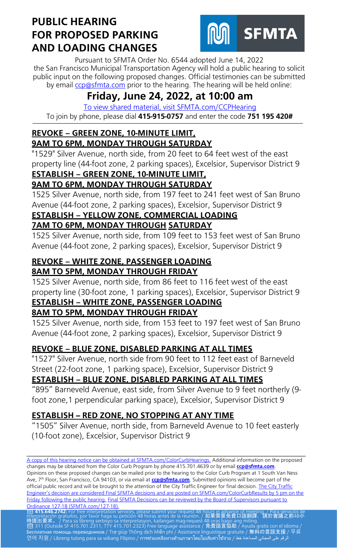

Pursuant to SFMTA Order No. 6544 adopted June 14, 2022 the San Francisco Municipal Transportation Agency will hold a public hearing to solicit public input on the following proposed changes. Official testimonies can be submitted by email [ccp@sfmta.com](mailto:ccp@sfmta.com) prior to the hearing. The hearing will be held online:

# **Friday, June 24, 2022, at 10:00 am**

 [To view shared material, visit SFMTA.com/CCPHearing](https://www.sfmta.com/CCPHearing) To join by phone, please dial **415-915-0757** and enter the code **751 195 420#**

#### **REVOKE – GREEN ZONE, 10-MINUTE LIMIT, 9AM TO 6PM, MONDAY THROUGH SATURDAY**

"1529" Silver Avenue, north side, from 20 feet to 64 feet west of the east property line (44-foot zone, 2 parking spaces), Excelsior, Supervisor District 9 **ESTABLISH – GREEN ZONE, 10-MINUTE LIMIT,** 

## **9AM TO 6PM, MONDAY THROUGH SATURDAY**

1525 Silver Avenue, north side, from 197 feet to 241 feet west of San Bruno Avenue (44-foot zone, 2 parking spaces), Excelsior, Supervisor District 9

#### **ESTABLISH – YELLOW ZONE, COMMERCIAL LOADING 7AM TO 6PM, MONDAY THROUGH SATURDAY**

1525 Silver Avenue, north side, from 109 feet to 153 feet west of San Bruno Avenue (44-foot zone, 2 parking spaces), Excelsior, Supervisor District 9

#### **REVOKE – WHITE ZONE, PASSENGER LOADING 8AM TO 5PM, MONDAY THROUGH FRIDAY**

1525 Silver Avenue, north side, from 86 feet to 116 feet west of the east property line (30-foot zone, 1 parking spaces), Excelsior, Supervisor District 9 **ESTABLISH – WHITE ZONE, PASSENGER LOADING**

# **8AM TO 5PM, MONDAY THROUGH FRIDAY**

1525 Silver Avenue, north side, from 153 feet to 197 feet west of San Bruno Avenue (44-foot zone, 2 parking spaces), Excelsior, Supervisor District 9

## **REVOKE – BLUE ZONE, DISABLED PARKING AT ALL TIMES**

"1527" Silver Avenue, north side from 90 feet to 112 feet east of Barneveld Street (22-foot zone, 1 parking space), Excelsior, Supervisor District 9

## **ESTABLISH – BLUE ZONE, DISABLED PARKING AT ALL TIMES**

"895" Barneveld Avenue, east side, from Silver Avenue to 9 feet northerly (9 foot zone,1 perpendicular parking space), Excelsior, Supervisor District 9

## **ESTABLISH -- RED ZONE, NO STOPPING AT ANY TIME**

"1505" Silver Avenue, north side, from Barneveld Avenue to 10 feet easterly (10-foot zone), Excelsior, Supervisor District 9

\_\_\_\_\_\_\_\_\_\_\_\_\_\_\_\_\_\_\_\_\_\_\_\_\_\_\_\_\_\_\_\_\_\_\_\_\_\_\_\_\_\_\_\_\_\_\_\_\_\_\_\_\_\_\_\_\_\_\_\_\_\_\_\_\_\_\_\_\_\_\_\_\_\_\_\_ [A copy of this hearing notice can be obtained at SFMTA.com/ColorCurbHearings.](http://www.sfmta.com/ColorCurbHearings) Additional information on the proposed changes may be obtained from the Color Curb Program by phone 415.701.4639 or by email **[ccp@sfmta.com](mailto:ccp@sfmta.com)**. Opinions on these proposed changes can be mailed prior to the hearing to the Color Curb Program at 1 South Van Ness Ave, 7<sup>th</sup> Floor, San Francisco, CA 94103, or via email at **[ccp@sfmta.com](mailto:ccp@sfmta.com)**. Submitted opinions will become part of the official public record and will be brought to the attention of the City Traffic Engineer for final decision. The City Traffic [Engineer's decision are considered Final SFMTA decisions and are posted on SFMTA.com/ColorCurbResults by 5 pm on the](http://www.sfmta.com/ColorCurbResults)  [Friday following the public hearing.](http://www.sfmta.com/ColorCurbResults) [Final SFMTA Decisions can be reviewed by the Board of Supervisors pursuant to](https://sfbos.org/sites/default/files/o0127-18.pdf) Ordinance 127-18 (SFMTA.com/127-18). [Ordinance 127-18 \(SFMTA.com/127-18\).](https://sfbos.org/sites/default/files/o0127-18.pdf)<br><mark>23 415.646.2742:</mark> For free interpretation services, please submit your request 48 hou<u>rs in advance of meet</u>ing. / Para servicios de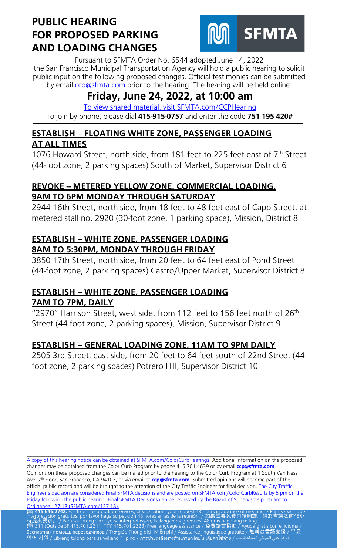

Pursuant to SFMTA Order No. 6544 adopted June 14, 2022 the San Francisco Municipal Transportation Agency will hold a public hearing to solicit public input on the following proposed changes. Official testimonies can be submitted by email [ccp@sfmta.com](mailto:ccp@sfmta.com) prior to the hearing. The hearing will be held online:

# **Friday, June 24, 2022, at 10:00 am**

 [To view shared material, visit SFMTA.com/CCPHearing](https://www.sfmta.com/CCPHearing) To join by phone, please dial **415-915-0757** and enter the code **751 195 420#**

### **ESTABLISH – FLOATING WHITE ZONE, PASSENGER LOADING AT ALL TIMES**

1076 Howard Street, north side, from 181 feet to 225 feet east of 7<sup>th</sup> Street (44-foot zone, 2 parking spaces) South of Market, Supervisor District 6

### **REVOKE -- METERED YELLOW ZONE, COMMERCIAL LOADING, 9AM TO 6PM MONDAY THROUGH SATURDAY**

2944 16th Street, north side, from 18 feet to 48 feet east of Capp Street, at metered stall no. 2920 (30-foot zone, 1 parking space), Mission, District 8

#### **ESTABLISH – WHITE ZONE, PASSENGER LOADING 8AM TO 5:30PM, MONDAY THROUGH FRIDAY**

3850 17th Street, north side, from 20 feet to 64 feet east of Pond Street (44-foot zone, 2 parking spaces) Castro/Upper Market, Supervisor District 8

### **ESTABLISH – WHITE ZONE, PASSENGER LOADING 7AM TO 7PM, DAILY**

"2970" Harrison Street, west side, from 112 feet to 156 feet north of  $26<sup>th</sup>$ Street (44-foot zone, 2 parking spaces), Mission, Supervisor District 9

## **ESTABLISH – GENERAL LOADING ZONE, 11AM TO 9PM DAILY**

2505 3rd Street, east side, from 20 feet to 64 feet south of 22nd Street (44 foot zone, 2 parking spaces) Potrero Hill, Supervisor District 10

[A copy of this hearing notice can be obtained at SFMTA.com/ColorCurbHearings.](http://www.sfmta.com/ColorCurbHearings) Additional information on the proposed changes may be obtained from the Color Curb Program by phone 415.701.4639 or by email **[ccp@sfmta.com](mailto:ccp@sfmta.com)**. Opinions on these proposed changes can be mailed prior to the hearing to the Color Curb Program at 1 South Van Ness Ave, 7<sup>th</sup> Floor, San Francisco, CA 94103, or via email at **[ccp@sfmta.com](mailto:ccp@sfmta.com)**. Submitted opinions will become part of the official public record and will be brought to the attention of the City Traffic Engineer for final decision. The City Traffic [Engineer's decision are considered Final SFMTA decisions and are posted on SFMTA.com/ColorCurbResults by 5 pm on the](http://www.sfmta.com/ColorCurbResults)  [Friday following the public hearing.](http://www.sfmta.com/ColorCurbResults) [Final SFMTA Decisions can be reviewed by the Board of Supervisors pursuant to](https://sfbos.org/sites/default/files/o0127-18.pdf) Ordinance 127-18 (SFMTA.com/127-18). [Ordinance 127-18 \(SFMTA.com/127-18\).](https://sfbos.org/sites/default/files/o0127-18.pdf)<br><mark>23 415.646.2742:</mark> For free interpretation services, please submit your request 48 hou<u>rs in advance of meet</u>ing. / Para servicios de

\_\_\_\_\_\_\_\_\_\_\_\_\_\_\_\_\_\_\_\_\_\_\_\_\_\_\_\_\_\_\_\_\_\_\_\_\_\_\_\_\_\_\_\_\_\_\_\_\_\_\_\_\_\_\_\_\_\_\_\_\_\_\_\_\_\_\_\_\_\_\_\_\_\_\_\_